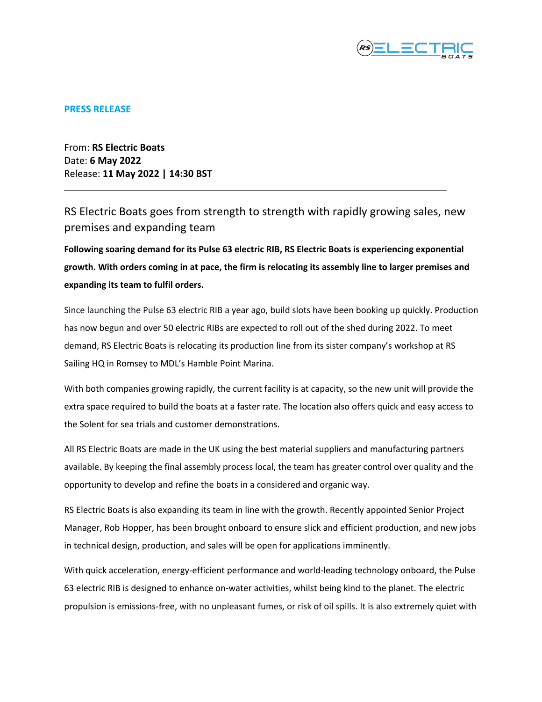

## **PRESS RELEASE**

From: **RS Electric Boats** Date: **6 May 2022** Release: **11 May 2022 | 14:30 BST**

RS Electric Boats goes from strength to strength with rapidly growing sales, new premises and expanding team

**Following soaring demand for its Pulse 63 electric RIB, RS Electric Boats is experiencing exponential growth. With orders coming in at pace, the firm is relocating its assembly line to larger premises and expanding its team to fulfil orders.** 

Since launching the Pulse 63 electric RIB a year ago, build slots have been booking up quickly. Production has now begun and over 50 electric RIBs are expected to roll out of the shed during 2022. To meet demand, RS Electric Boats is relocating its production line from its sister company's workshop at RS Sailing HQ in Romsey to MDL's Hamble Point Marina.

With both companies growing rapidly, the current facility is at capacity, so the new unit will provide the extra space required to build the boats at a faster rate. The location also offers quick and easy access to the Solent for sea trials and customer demonstrations.

All RS Electric Boats are made in the UK using the best material suppliers and manufacturing partners available. By keeping the final assembly process local, the team has greater control over quality and the opportunity to develop and refine the boats in a considered and organic way.

RS Electric Boats is also expanding its team in line with the growth. Recently appointed Senior Project Manager, Rob Hopper, has been brought onboard to ensure slick and efficient production, and new jobs in technical design, production, and sales will be open for applications imminently.

With quick acceleration, energy-efficient performance and world-leading technology onboard, the Pulse 63 electric RIB is designed to enhance on-water activities, whilst being kind to the planet. The electric propulsion is emissions-free, with no unpleasant fumes, or risk of oil spills. It is also extremely quiet with